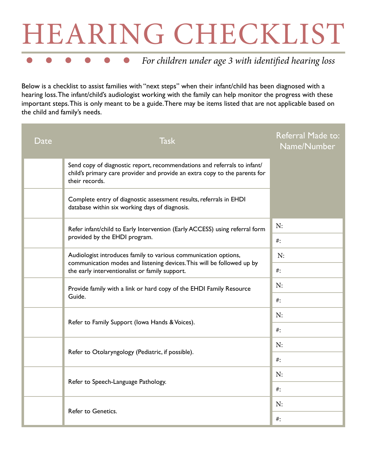## HEARING CHECKLIST

## *For children under age 3 with identified hearing loss*

Below is a checklist to assist families with "next steps" when their infant/child has been diagnosed with a hearing loss. The infant/child's audiologist working with the family can help monitor the progress with these important steps. This is only meant to be a guide. There may be items listed that are not applicable based on the child and family's needs.

| Date | <b>Task</b>                                                                                                                                                                                 | Referral Made to:<br>Name/Number |
|------|---------------------------------------------------------------------------------------------------------------------------------------------------------------------------------------------|----------------------------------|
|      | Send copy of diagnostic report, recommendations and referrals to infant/<br>child's primary care provider and provide an extra copy to the parents for<br>their records.                    |                                  |
|      | Complete entry of diagnostic assessment results, referrals in EHDI<br>database within six working days of diagnosis.                                                                        |                                  |
|      | Refer infant/child to Early Intervention (Early ACCESS) using referral form<br>provided by the EHDI program.                                                                                | N:                               |
|      |                                                                                                                                                                                             | $#$ :                            |
|      | Audiologist introduces family to various communication options,<br>communication modes and listening devices. This will be followed up by<br>the early interventionalist or family support. | N:                               |
|      |                                                                                                                                                                                             | $\#$ :                           |
|      | Provide family with a link or hard copy of the EHDI Family Resource<br>Guide.                                                                                                               | N:                               |
|      |                                                                                                                                                                                             | $\#$ :                           |
|      | Refer to Family Support (lowa Hands & Voices).                                                                                                                                              | N:                               |
|      |                                                                                                                                                                                             | $#$ :                            |
|      | Refer to Otolaryngology (Pediatric, if possible).                                                                                                                                           | N:                               |
|      |                                                                                                                                                                                             | $\#$ :                           |
|      | Refer to Speech-Language Pathology.                                                                                                                                                         | N:                               |
|      |                                                                                                                                                                                             | $\#$ :                           |
|      | Refer to Genetics.                                                                                                                                                                          | N:                               |
|      |                                                                                                                                                                                             | $#$ :                            |